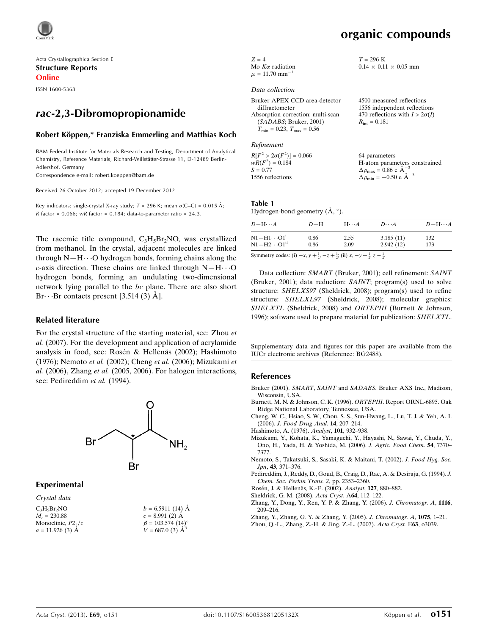

Acta Crystallographica Section E Structure Reports Online

ISSN 1600-5368

# rac-2,3-Dibromopropionamide

### Robert Köppen,\* Franziska Emmerling and Matthias Koch

BAM Federal Institute for Materials Research and Testing, Department of Analytical Chemistry, Reference Materials, Richard-Willstätter-Strasse 11, D-12489 Berlin-Adlershof, Germany

Correspondence e-mail: [robert.koeppen@bam.de](https://scripts.iucr.org/cgi-bin/cr.cgi?rm=pdfbb&cnor=bg2488&bbid=BB12)

Received 26 October 2012; accepted 19 December 2012

Key indicators: single-crystal X-ray study;  $T = 296$  K; mean  $\sigma$ (C–C) = 0.015 Å; R factor =  $0.066$ ; wR factor =  $0.184$ ; data-to-parameter ratio = 24.3.

The racemic title compound,  $C_3H_5Br_2NO$ , was crystallized from methanol. In the crystal, adjacent molecules are linked through  $N-H\cdots O$  hydrogen bonds, forming chains along the  $c$ -axis direction. These chains are linked through  $N-H\cdots O$ hydrogen bonds, forming an undulating two-dimensional network lying parallel to the bc plane. There are also short Br $\cdots$ Br contacts present [3.514 (3) Å].

### Related literature

For the crystal structure of the starting material, see: Zhou et al. (2007). For the development and application of acrylamide analysis in food, see: Rosén & Hellenäs (2002); Hashimoto (1976); Nemoto et al. (2002); Cheng et al. (2006); Mizukami et al. (2006), Zhang et al. (2005, 2006). For halogen interactions, see: Pedireddim et al. (1994).



### Experimental

### Crystal data

| $C_3H_5Br_2NO$       | $b = 6.5911(14)$ Å                  |
|----------------------|-------------------------------------|
| $M_r = 230.88$       | $c = 8.991(2)$ A                    |
| Monoclinic, $P2_1/c$ | $\beta = 103.574$ (14) <sup>o</sup> |
| $a = 11.926$ (3) A   | $V = 687.0$ (3) $\AA^3$             |

| $Z = 4$                        |
|--------------------------------|
| Mo $K\alpha$ radiation         |
| $\mu = 11.70$ mm <sup>-1</sup> |

#### Data collection

| Bruker APEX CCD area-detector            | 4500 measured reflections             |
|------------------------------------------|---------------------------------------|
| diffractometer                           | 1556 independent reflections          |
| Absorption correction: multi-scan        | 470 reflections with $I > 2\sigma(I)$ |
| (SADABS; Bruker, 2001)                   | $R_{\rm int} = 0.181$                 |
| $T_{\rm min} = 0.23, T_{\rm max} = 0.56$ |                                       |

#### Refinement

 $R[F^2 > 2\sigma(F^2)] = 0.066$  $wR(F^2) = 0.184$  $S = 0.77$ 1556 reflections 64 parameters H-atom parameters constrained  $\Delta \rho_{\text{max}} = 0.86 \text{ e A}^{-3}$  $\Delta \rho_{\text{min}} = -0.50 \text{ e A}^{-3}$ 

### Table 1

Hydrogen-bond geometry  $(\mathring{A}, \degree)$ .

| $D - H \cdots A$                    | $D-H$                    | $H\cdots A$ | $D\cdots A$ | $D - H \cdots A$ |
|-------------------------------------|--------------------------|-------------|-------------|------------------|
| $\rm N1\!-\!H1\!\cdots\!O1^{\iota}$ | 0.86                     | 2.55        | 3.185(11)   | 132              |
| $\rm N1\!-\!H2\cdots\!O1^{ii}$      | 0.86                     | 2.09        | 2.942(12)   | 173              |
| $\sim$ $\sim$ $\sim$ $\sim$ $\sim$  | $\sim$ 1 $\sim$ 1 $\sim$ |             |             |                  |

Symmetry codes: (i)  $-x$ ,  $y + \frac{1}{2}$ ,  $-z + \frac{1}{2}$ ; (ii)  $x$ ,  $-y + \frac{1}{2}$ ,  $z - \frac{1}{2}$ .

Data collection: SMART (Bruker, 2001); cell refinement: SAINT (Bruker, 2001); data reduction: SAINT; program(s) used to solve structure: SHELXS97 (Sheldrick, 2008); program(s) used to refine structure: SHELXL97 (Sheldrick, 2008); molecular graphics: SHELXTL (Sheldrick, 2008) and ORTEPIII (Burnett & Johnson, 1996); software used to prepare material for publication: SHELXTL.

Supplementary data and figures for this paper are available from the IUCr electronic archives (Reference: BG2488).

### References

- Bruker (2001). SMART, SAINT and SADABS[. Bruker AXS Inc., Madison,](https://scripts.iucr.org/cgi-bin/cr.cgi?rm=pdfbb&cnor=bg2488&bbid=BB1) [Wisconsin, USA.](https://scripts.iucr.org/cgi-bin/cr.cgi?rm=pdfbb&cnor=bg2488&bbid=BB1)
- [Burnett, M. N. & Johnson, C. K. \(1996\).](https://scripts.iucr.org/cgi-bin/cr.cgi?rm=pdfbb&cnor=bg2488&bbid=BB2) ORTEPIII. Report ORNL-6895. Oak [Ridge National Laboratory, Tennessee, USA.](https://scripts.iucr.org/cgi-bin/cr.cgi?rm=pdfbb&cnor=bg2488&bbid=BB2)
- [Cheng, W. C., Hsiao, S. W., Chou, S. S., Sun-Hwang, L., Lu, T. J. & Yeh, A. I.](https://scripts.iucr.org/cgi-bin/cr.cgi?rm=pdfbb&cnor=bg2488&bbid=BB3) (2006). [J. Food Drug Anal.](https://scripts.iucr.org/cgi-bin/cr.cgi?rm=pdfbb&cnor=bg2488&bbid=BB3) 14, 207–214.
- [Hashimoto, A. \(1976\).](https://scripts.iucr.org/cgi-bin/cr.cgi?rm=pdfbb&cnor=bg2488&bbid=BB4) Analyst, 101, 932–938.
- [Mizukami, Y., Kohata, K., Yamaguchi, Y., Hayashi, N., Sawai, Y., Chuda, Y.,](https://scripts.iucr.org/cgi-bin/cr.cgi?rm=pdfbb&cnor=bg2488&bbid=BB5) [Ono, H., Yada, H. & Yoshida, M. \(2006\).](https://scripts.iucr.org/cgi-bin/cr.cgi?rm=pdfbb&cnor=bg2488&bbid=BB5) J. Agric. Food Chem. 54, 7370– [7377.](https://scripts.iucr.org/cgi-bin/cr.cgi?rm=pdfbb&cnor=bg2488&bbid=BB5)
- [Nemoto, S., Takatsuki, S., Sasaki, K. & Maitani, T. \(2002\).](https://scripts.iucr.org/cgi-bin/cr.cgi?rm=pdfbb&cnor=bg2488&bbid=BB6) J. Food Hyg. Soc. Jpn, 43[, 371–376.](https://scripts.iucr.org/cgi-bin/cr.cgi?rm=pdfbb&cnor=bg2488&bbid=BB6)
- [Pedireddim, J., Reddy, D., Goud, B., Craig, D., Rae, A. & Desiraju, G. \(1994\).](https://scripts.iucr.org/cgi-bin/cr.cgi?rm=pdfbb&cnor=bg2488&bbid=BB7) J. [Chem. Soc. Perkin Trans. 2](https://scripts.iucr.org/cgi-bin/cr.cgi?rm=pdfbb&cnor=bg2488&bbid=BB7), pp. 2353–2360.
- Rosén, J. & Hellenäs, K.-E. (2002). Analyst, 127, 880-882.
- [Sheldrick, G. M. \(2008\).](https://scripts.iucr.org/cgi-bin/cr.cgi?rm=pdfbb&cnor=bg2488&bbid=BB9) Acta Cryst. A64, 112–122.
- [Zhang, Y., Dong, Y., Ren, Y. P. & Zhang, Y. \(2006\).](https://scripts.iucr.org/cgi-bin/cr.cgi?rm=pdfbb&cnor=bg2488&bbid=BB10) J. Chromatogr. A, 1116, [209–216.](https://scripts.iucr.org/cgi-bin/cr.cgi?rm=pdfbb&cnor=bg2488&bbid=BB10)
- [Zhang, Y., Zhang, G. Y. & Zhang, Y. \(2005\).](https://scripts.iucr.org/cgi-bin/cr.cgi?rm=pdfbb&cnor=bg2488&bbid=BB11) J. Chromatogr. A, 1075, 1–21.
- [Zhou, Q.-L., Zhang, Z.-H. & Jing, Z.-L. \(2007\).](https://scripts.iucr.org/cgi-bin/cr.cgi?rm=pdfbb&cnor=bg2488&bbid=BB12) Acta Cryst. E63, o3039.

 $0.14 \times 0.11 \times 0.05$  mm

 $T = 296$  K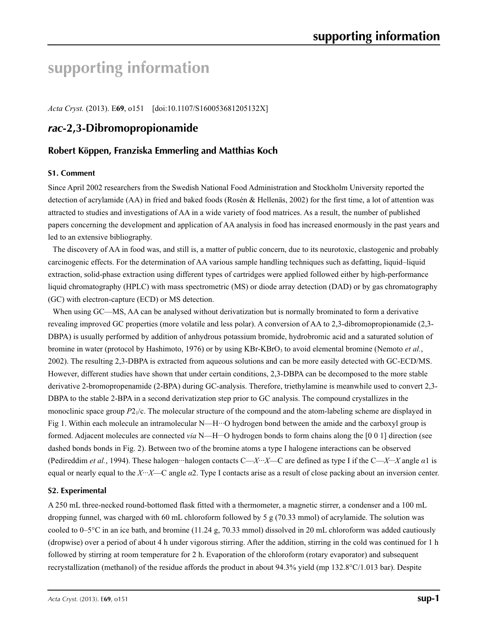# **supporting information**

*Acta Cryst.* (2013). E**69**, o151 [doi:10.1107/S160053681205132X]

# *rac***-2,3-Dibromopropionamide**

# **Robert Köppen, Franziska Emmerling and Matthias Koch**

# **S1. Comment**

Since April 2002 researchers from the Swedish National Food Administration and Stockholm University reported the detection of acrylamide (AA) in fried and baked foods (Rosén & Hellenäs, 2002) for the first time, a lot of attention was attracted to studies and investigations of AA in a wide variety of food matrices. As a result, the number of published papers concerning the development and application of AA analysis in food has increased enormously in the past years and led to an extensive bibliography.

The discovery of AA in food was, and still is, a matter of public concern, due to its neurotoxic, clastogenic and probably carcinogenic effects. For the determination of AA various sample handling techniques such as defatting, liquid–liquid extraction, solid-phase extraction using different types of cartridges were applied followed either by high-performance liquid chromatography (HPLC) with mass spectrometric (MS) or diode array detection (DAD) or by gas chromatography (GC) with electron-capture (ECD) or MS detection.

When using GC—MS, AA can be analysed without derivatization but is normally brominated to form a derivative revealing improved GC properties (more volatile and less polar). A conversion of AA to 2,3-dibromopropionamide (2,3- DBPA) is usually performed by addition of anhydrous potassium bromide, hydrobromic acid and a saturated solution of bromine in water (protocol by Hashimoto, 1976) or by using KBr-KBrO<sub>3</sub> to avoid elemental bromine (Nemoto *et al.*, 2002). The resulting 2,3-DBPA is extracted from aqueous solutions and can be more easily detected with GC-ECD/MS. However, different studies have shown that under certain conditions, 2,3-DBPA can be decomposed to the more stable derivative 2-bromopropenamide (2-BPA) during GC-analysis. Therefore, triethylamine is meanwhile used to convert 2,3- DBPA to the stable 2-BPA in a second derivatization step prior to GC analysis. The compound crystallizes in the monoclinic space group  $P2_1/c$ . The molecular structure of the compound and the atom-labeling scheme are displayed in Fig 1. Within each molecule an intramolecular N—H···O hydrogen bond between the amide and the carboxyl group is formed. Adjacent molecules are connected *via* N—H···O hydrogen bonds to form chains along the [0 0 1] direction (see dashed bonds bonds in Fig. 2). Between two of the bromine atoms a type I halogene interactions can be observed (Pedireddim *et al.*, 1994). These halogen···halogen contacts C—*X*···*X*—C are defined as type I if the C—*X*···*X* angle *α*1 is equal or nearly equal to the *X*···*X*—C angle *α*2. Type I contacts arise as a result of close packing about an inversion center.

# **S2. Experimental**

A 250 mL three-necked round-bottomed flask fitted with a thermometer, a magnetic stirrer, a condenser and a 100 mL dropping funnel, was charged with 60 mL chloroform followed by 5 g (70.33 mmol) of acrylamide. The solution was cooled to  $0-5^{\circ}$ C in an ice bath, and bromine (11.24 g, 70.33 mmol) dissolved in 20 mL chloroform was added cautiously (dropwise) over a period of about 4 h under vigorous stirring. After the addition, stirring in the cold was continued for 1 h followed by stirring at room temperature for 2 h. Evaporation of the chloroform (rotary evaporator) and subsequent recrystallization (methanol) of the residue affords the product in about 94.3% yield (mp 132.8°C/1.013 bar). Despite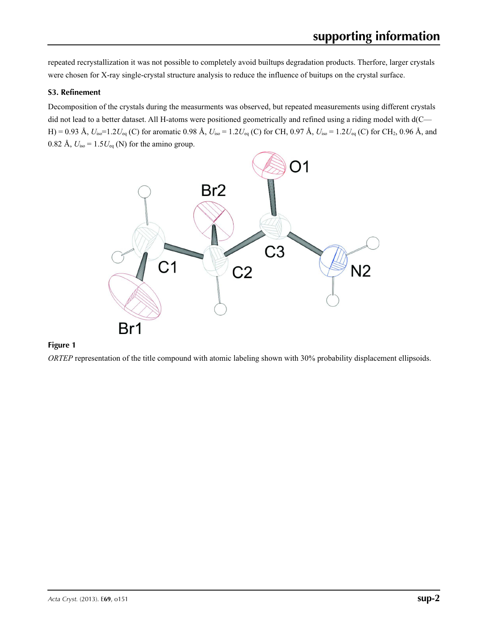repeated recrystallization it was not possible to completely avoid builtups degradation products. Therfore, larger crystals were chosen for X-ray single-crystal structure analysis to reduce the influence of buitups on the crystal surface.

# **S3. Refinement**

Decomposition of the crystals during the measurments was observed, but repeated measurements using different crystals did not lead to a better dataset. All H-atoms were positioned geometrically and refined using a riding model with d(C— H) = 0.93 Å,  $U_{iso}$ =1.2 $U_{eq}$  (C) for aromatic 0.98 Å,  $U_{iso}$  = 1.2 $U_{eq}$  (C) for CH, 0.97 Å,  $U_{iso}$  = 1.2 $U_{eq}$  (C) for CH<sub>2</sub>, 0.96 Å, and 0.82 Å,  $U_{\text{iso}} = 1.5U_{\text{eq}}$  (N) for the amino group.



# **Figure 1**

*ORTEP* representation of the title compound with atomic labeling shown with 30% probability displacement ellipsoids.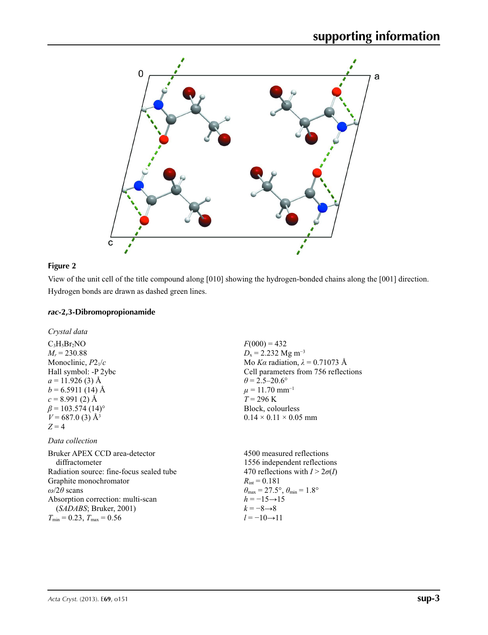

# **Figure 2**

View of the unit cell of the title compound along [010] showing the hydrogen-bonded chains along the [001] direction. Hydrogen bonds are drawn as dashed green lines.

# *rac***-2,3-Dibromopropionamide**

*Crystal data*

 $C_3H_5Br_2NO$  $M_r = 230.88$ Monoclinic, *P*21/*c* Hall symbol: -P 2ybc  $a = 11.926$  (3) Å  $b = 6.5911(14)$  Å  $c = 8.991(2)$  Å  $\beta$  = 103.574 (14)<sup>o</sup>  $V = 687.0$  (3) Å<sup>3</sup>  $Z = 4$ 

# *Data collection*

Bruker APEX CCD area-detector diffractometer Radiation source: fine-focus sealed tube Graphite monochromator *ω*/2*θ* scans Absorption correction: multi-scan (*SADABS*; Bruker, 2001)  $T_{\text{min}} = 0.23, T_{\text{max}} = 0.56$ 

 $F(000) = 432$  $D_x = 2.232$  Mg m<sup>-3</sup> Mo *Kα* radiation,  $\lambda = 0.71073$  Å Cell parameters from 756 reflections  $\theta$  = 2.5–20.6°  $\mu = 11.70$  mm<sup>-1</sup>  $T = 296$  K Block, colourless  $0.14 \times 0.11 \times 0.05$  mm

4500 measured reflections 1556 independent reflections 470 reflections with  $I > 2\sigma(I)$  $R_{\text{int}} = 0.181$  $\theta_{\text{max}} = 27.5^{\circ}, \theta_{\text{min}} = 1.8^{\circ}$  $h = -15 \rightarrow 15$ *k* = −8→8 *l* = −10→11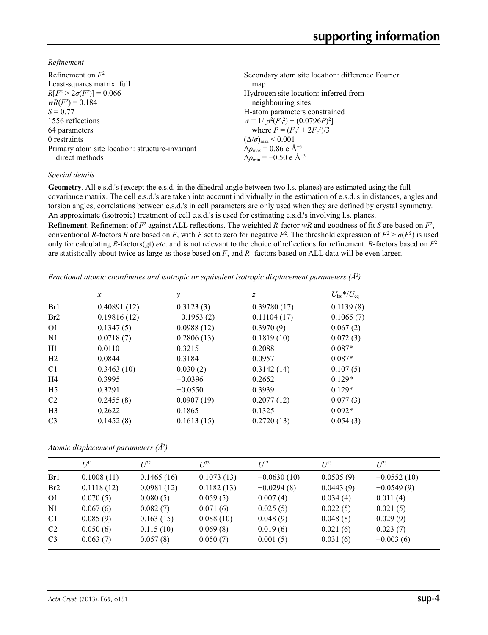*Refinement*

| Refinement on $F^2$<br>Least-squares matrix: full<br>$R[F^2 > 2\sigma(F^2)] = 0.066$<br>$wR(F^2) = 0.184$ | Secondary atom site location: difference Fourier<br>map<br>Hydrogen site location: inferred from<br>neighbouring sites |
|-----------------------------------------------------------------------------------------------------------|------------------------------------------------------------------------------------------------------------------------|
| $S = 0.77$                                                                                                | H-atom parameters constrained                                                                                          |
| 1556 reflections                                                                                          | $w = 1/[\sigma^2(F_0^2) + (0.0796P)^2]$                                                                                |
| 64 parameters                                                                                             | where $P = (F_o^2 + 2F_c^2)/3$                                                                                         |
| 0 restraints                                                                                              | $(\Delta/\sigma)_{\text{max}}$ < 0.001                                                                                 |
| Primary atom site location: structure-invariant                                                           | $\Delta\rho_{\text{max}}$ = 0.86 e Å <sup>-3</sup>                                                                     |
| direct methods                                                                                            | $\Delta\rho_{\rm min} = -0.50 \text{ e A}^{-3}$                                                                        |
|                                                                                                           |                                                                                                                        |

# *Special details*

**Geometry**. All e.s.d.'s (except the e.s.d. in the dihedral angle between two l.s. planes) are estimated using the full covariance matrix. The cell e.s.d.'s are taken into account individually in the estimation of e.s.d.'s in distances, angles and torsion angles; correlations between e.s.d.'s in cell parameters are only used when they are defined by crystal symmetry. An approximate (isotropic) treatment of cell e.s.d.'s is used for estimating e.s.d.'s involving l.s. planes.

**Refinement**. Refinement of  $F^2$  against ALL reflections. The weighted R-factor wR and goodness of fit *S* are based on  $F^2$ , conventional *R*-factors *R* are based on *F*, with *F* set to zero for negative  $F^2$ . The threshold expression of  $F^2 > \sigma(F^2)$  is used only for calculating *R*-factors(gt) *etc*. and is not relevant to the choice of reflections for refinement. *R*-factors based on *F*<sup>2</sup> are statistically about twice as large as those based on *F*, and *R*- factors based on ALL data will be even larger.

*Fractional atomic coordinates and isotropic or equivalent isotropic displacement parameters (Å<sup>2</sup>)* 

|                 | $\mathcal{X}$ | у            | $\boldsymbol{Z}$ | $U_{\rm iso}*/U_{\rm eq}$ |  |
|-----------------|---------------|--------------|------------------|---------------------------|--|
| Br1             | 0.40891(12)   | 0.3123(3)    | 0.39780(17)      | 0.1139(8)                 |  |
| Br <sub>2</sub> | 0.19816(12)   | $-0.1953(2)$ | 0.11104(17)      | 0.1065(7)                 |  |
| O <sub>1</sub>  | 0.1347(5)     | 0.0988(12)   | 0.3970(9)        | 0.067(2)                  |  |
| N <sub>1</sub>  | 0.0718(7)     | 0.2806(13)   | 0.1819(10)       | 0.072(3)                  |  |
| H1              | 0.0110        | 0.3215       | 0.2088           | $0.087*$                  |  |
| H2              | 0.0844        | 0.3184       | 0.0957           | $0.087*$                  |  |
| C <sub>1</sub>  | 0.3463(10)    | 0.030(2)     | 0.3142(14)       | 0.107(5)                  |  |
| H4              | 0.3995        | $-0.0396$    | 0.2652           | $0.129*$                  |  |
| H <sub>5</sub>  | 0.3291        | $-0.0550$    | 0.3939           | $0.129*$                  |  |
| C <sub>2</sub>  | 0.2455(8)     | 0.0907(19)   | 0.2077(12)       | 0.077(3)                  |  |
| H <sub>3</sub>  | 0.2622        | 0.1865       | 0.1325           | $0.092*$                  |  |
| C <sub>3</sub>  | 0.1452(8)     | 0.1613(15)   | 0.2720(13)       | 0.054(3)                  |  |

*Atomic displacement parameters (Å2 )*

|                | $U^{11}$   | I/22       | $U^{\beta 3}$ | $U^{12}$      | $U^{13}$  | $L^{23}$      |
|----------------|------------|------------|---------------|---------------|-----------|---------------|
| Br1            | 0.1008(11) | 0.1465(16) | 0.1073(13)    | $-0.0630(10)$ | 0.0505(9) | $-0.0552(10)$ |
| Br2            | 0.1118(12) | 0.0981(12) | 0.1182(13)    | $-0.0294(8)$  | 0.0443(9) | $-0.0549(9)$  |
| O <sub>1</sub> | 0.070(5)   | 0.080(5)   | 0.059(5)      | 0.007(4)      | 0.034(4)  | 0.011(4)      |
| N <sub>1</sub> | 0.067(6)   | 0.082(7)   | 0.071(6)      | 0.025(5)      | 0.022(5)  | 0.021(5)      |
| C <sub>1</sub> | 0.085(9)   | 0.163(15)  | 0.088(10)     | 0.048(9)      | 0.048(8)  | 0.029(9)      |
| C <sub>2</sub> | 0.050(6)   | 0.115(10)  | 0.069(8)      | 0.019(6)      | 0.021(6)  | 0.023(7)      |
| C <sub>3</sub> | 0.063(7)   | 0.057(8)   | 0.050(7)      | 0.001(5)      | 0.031(6)  | $-0.003(6)$   |